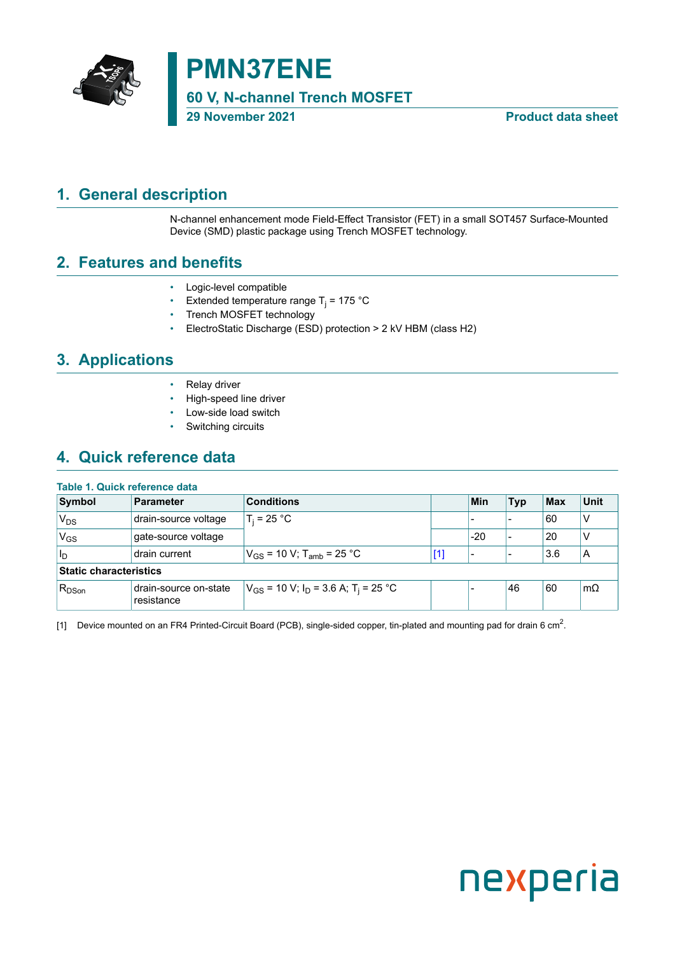

# **PMN37ENE**

**60 V, N-channel Trench MOSFET**

**29 November 2021 Product data sheet**

### <span id="page-0-1"></span>**1. General description**

<span id="page-0-0"></span>N-channel enhancement mode Field-Effect Transistor (FET) in a small SOT457 Surface-Mounted Device (SMD) plastic package using Trench MOSFET technology.

### <span id="page-0-2"></span>**2. Features and benefits**

- Logic-level compatible
- Extended temperature range T<sub>j</sub> = 175 °C
- Trench MOSFET technology
- ElectroStatic Discharge (ESD) protection > 2 kV HBM (class H2)

### <span id="page-0-3"></span>**3. Applications**

- Relay driver
- High-speed line driver
- Low-side load switch
- Switching circuits

### <span id="page-0-4"></span>**4. Quick reference data**

#### **Table 1. Quick reference data**

| Symbol                 | <b>Parameter</b>                    | <b>Conditions</b>                                                |     | Min                      | <b>Typ</b>               | <b>Max</b> | Unit      |
|------------------------|-------------------------------------|------------------------------------------------------------------|-----|--------------------------|--------------------------|------------|-----------|
| 'V <sub>DS</sub>       | drain-source voltage                | $T_i = 25 °C$                                                    |     |                          |                          | 60         |           |
| 'V <sub>GS</sub>       | gate-source voltage                 |                                                                  |     | $-20$                    | $\overline{\phantom{0}}$ | 20         |           |
| ll <sub>D</sub>        | drain current                       | $V_{GS}$ = 10 V; T <sub>amb</sub> = 25 °C                        | [1] | $\overline{\phantom{0}}$ | $\overline{\phantom{0}}$ | 3.6        | A         |
| Static characteristics |                                     |                                                                  |     |                          |                          |            |           |
| $R_{DSon}$             | drain-source on-state<br>resistance | $ V_{GS}$ = 10 V; I <sub>D</sub> = 3.6 A; T <sub>i</sub> = 25 °C |     |                          | 46                       | 60         | $m\Omega$ |

[1]  $\,$  Device mounted on an FR4 Printed-Circuit Board (PCB), single-sided copper, tin-plated and mounting pad for drain 6 cm $^2$ .

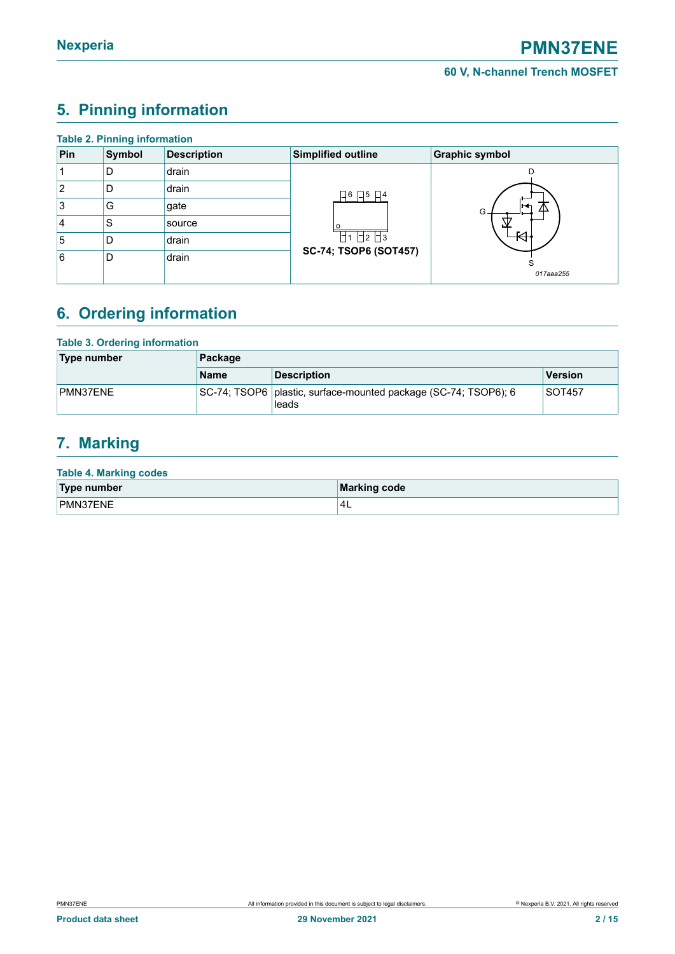## <span id="page-1-0"></span>**5. Pinning information**

| <b>Table 2. Pinning information</b> |               |                    |                              |                       |  |  |  |
|-------------------------------------|---------------|--------------------|------------------------------|-----------------------|--|--|--|
| Pin                                 | <b>Symbol</b> | <b>Description</b> | Simplified outline           | <b>Graphic symbol</b> |  |  |  |
|                                     | D             | drain              |                              |                       |  |  |  |
| 2                                   | D             | drain              | $\Box$ 5 $\Box$ 4<br>- 6     |                       |  |  |  |
| Ι3                                  | G             | gate               |                              | ⊩⊷<br>G               |  |  |  |
| 4                                   | S             | source             | $\Omega$                     |                       |  |  |  |
| 5                                   | D             | drain              | $\Box$ 2 $\Box$ 3            |                       |  |  |  |
| 6                                   | D             | drain              | <b>SC-74; TSOP6 (SOT457)</b> | ╮                     |  |  |  |
|                                     |               |                    |                              | 017aaa255             |  |  |  |

## <span id="page-1-1"></span>**6. Ordering information**

### **Table 3. Ordering information**

| Type number     | Package     |                                                                            |               |  |  |
|-----------------|-------------|----------------------------------------------------------------------------|---------------|--|--|
|                 | <b>Name</b> | <b>Description</b>                                                         | Version       |  |  |
| <b>PMN37ENE</b> |             | SC-74; TSOP6   plastic, surface-mounted package (SC-74; TSOP6); 6<br>leads | <b>SOT457</b> |  |  |

### <span id="page-1-2"></span>**7. Marking**

| <b>Table 4. Marking codes</b> |                     |  |  |  |  |
|-------------------------------|---------------------|--|--|--|--|
| Type number                   | <b>Marking code</b> |  |  |  |  |
| PMN37ENE                      | '4L                 |  |  |  |  |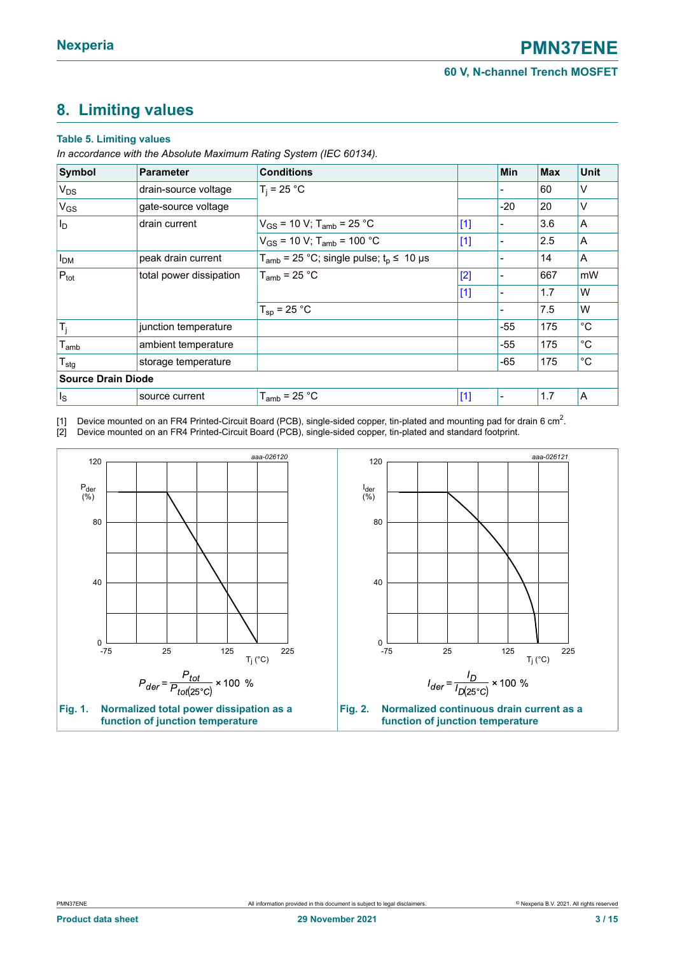### <span id="page-2-1"></span><span id="page-2-0"></span>**8. Limiting values**

#### **Table 5. Limiting values**

*In accordance with the Absolute Maximum Rating System (IEC 60134).*

| Symbol                    | <b>Parameter</b>        | <b>Conditions</b>                                |       | <b>Min</b>     | <b>Max</b> | <b>Unit</b>  |
|---------------------------|-------------------------|--------------------------------------------------|-------|----------------|------------|--------------|
| $V_{DS}$                  | drain-source voltage    | $T_i = 25 °C$                                    |       |                | 60         | V            |
| <b>V<sub>GS</sub></b>     | gate-source voltage     |                                                  |       | $-20$          | 20         | ٧            |
| $ I_{\mathsf{D}} $        | drain current           | $V_{GS}$ = 10 V; T <sub>amb</sub> = 25 °C        | $[1]$ |                | 3.6        | A            |
|                           |                         | $V_{GS}$ = 10 V; T <sub>amb</sub> = 100 °C       | $[1]$ | $\blacksquare$ | 2.5        | A            |
| I <sub>DM</sub>           | peak drain current      | $T_{amb}$ = 25 °C; single pulse; $t_p \le 10$ µs |       |                | 14         | A            |
| $P_{\text{tot}}$          | total power dissipation | $T_{amb}$ = 25 °C                                | [2]   |                | 667        | mW           |
|                           |                         |                                                  | $[1]$ |                | 1.7        | W            |
|                           |                         | $T_{sp}$ = 25 °C                                 |       |                | 7.5        | W            |
| $T_j$                     | junction temperature    |                                                  |       | $-55$          | 175        | °C           |
| $T_{amb}$                 | ambient temperature     |                                                  |       | $-55$          | 175        | $^{\circ}$ C |
| $T_{\text{stg}}$          | storage temperature     |                                                  |       | $-65$          | 175        | $^{\circ}$ C |
| <b>Source Drain Diode</b> |                         |                                                  |       |                |            |              |
| $\vert$ <sub>s</sub>      | source current          | $T_{amb}$ = 25 °C                                | $[1]$ |                | 1.7        | A            |

[1]  $\,$  Device mounted on an FR4 Printed-Circuit Board (PCB), single-sided copper, tin-plated and mounting pad for drain 6 cm $^2$ . [2] Device mounted on an FR4 Printed-Circuit Board (PCB), single-sided copper, tin-plated and standard footprint.

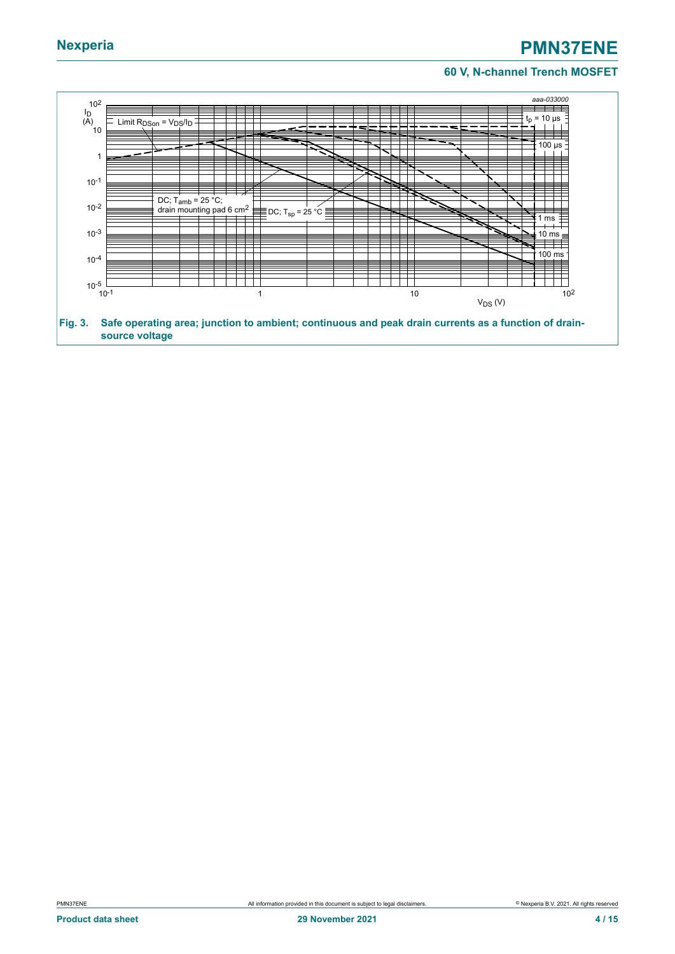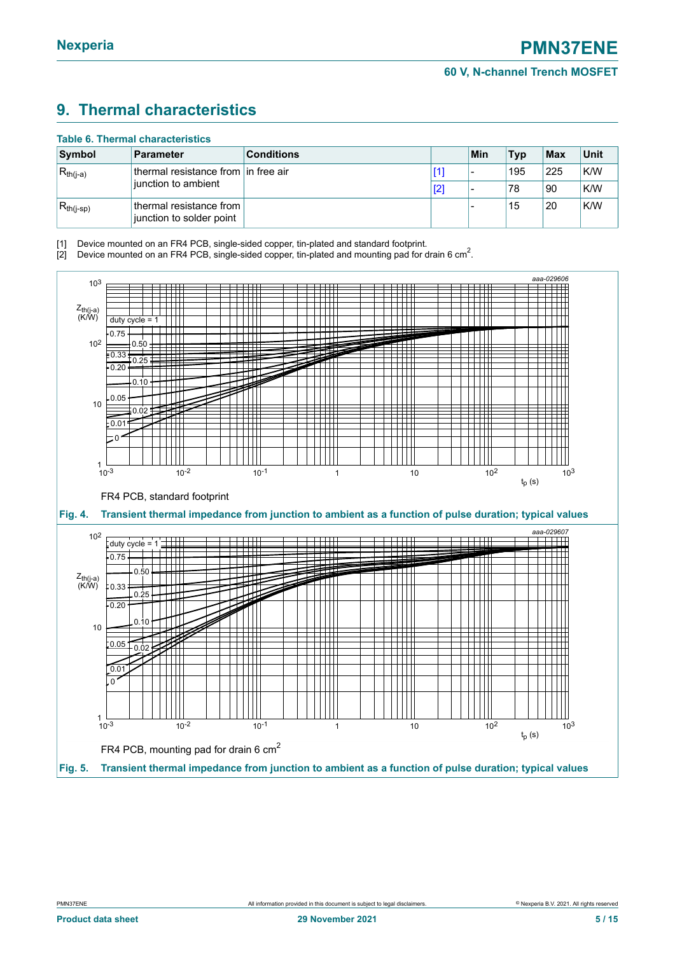## <span id="page-4-1"></span><span id="page-4-0"></span>**9. Thermal characteristics**

#### **Table 6. Thermal characteristics Symbol Parameter Conditions Min Typ Max Unit** Rth(j-a) thermal resistance from [\[1\]](#page-4-0) - 195 225 K/W junction to ambient in free air [\[2\]](#page-4-0) - 78 90 K/W  $R_{th(i-sp)}$  thermal resistance from junction to solder point 15 20 K/W

[1] Device mounted on an FR4 PCB, single-sided copper, tin-plated and standard footprint.

[2] Device mounted on an FR4 PCB, single-sided copper, tin-plated and mounting pad for drain 6 cm<sup>2</sup>.

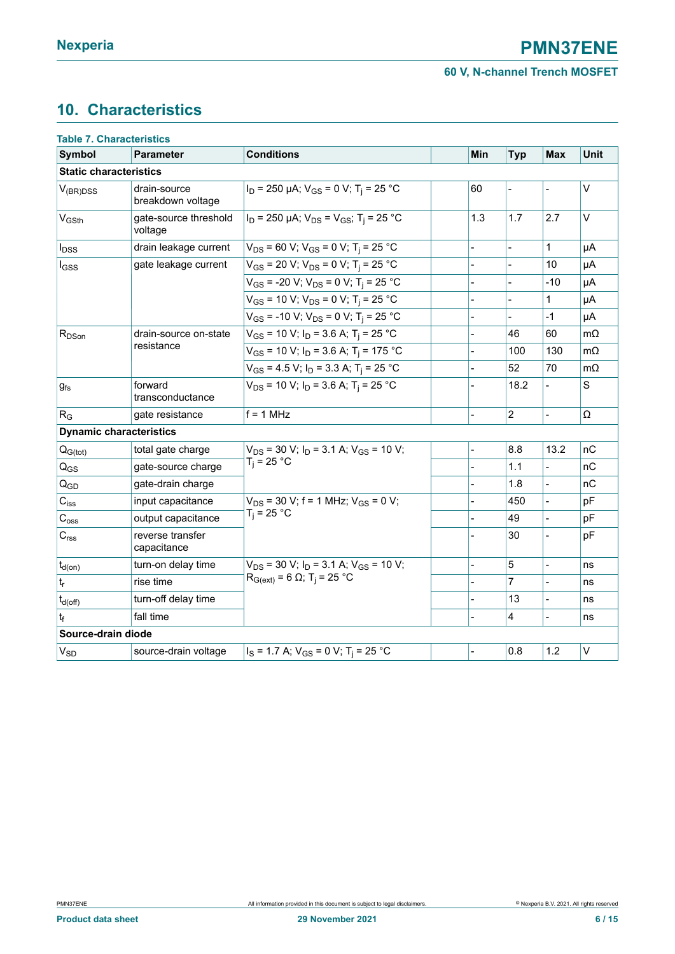## <span id="page-5-0"></span>**10. Characteristics**

| <b>Table 7. Characteristics</b> |                                   |                                                                |                |                |                |           |
|---------------------------------|-----------------------------------|----------------------------------------------------------------|----------------|----------------|----------------|-----------|
| Symbol                          | <b>Parameter</b>                  | <b>Conditions</b>                                              | Min            | <b>Typ</b>     | Max            | Unit      |
| <b>Static characteristics</b>   |                                   |                                                                |                |                |                |           |
| $V_{(BR)DSS}$                   | drain-source<br>breakdown voltage | $I_D$ = 250 µA; $V_{GS}$ = 0 V; T <sub>i</sub> = 25 °C         | 60             |                |                | V         |
| V <sub>GSth</sub>               | gate-source threshold<br>voltage  | $I_D$ = 250 µA; $V_{DS}$ = $V_{GS}$ ; T <sub>i</sub> = 25 °C   | 1.3            | 1.7            | 2.7            | V         |
| $I_{\text{DSS}}$                | drain leakage current             | $V_{DS}$ = 60 V; V <sub>GS</sub> = 0 V; T <sub>i</sub> = 25 °C |                |                | $\mathbf 1$    | μA        |
| lgss                            | gate leakage current              | $V_{GS}$ = 20 V; $V_{DS}$ = 0 V; T <sub>i</sub> = 25 °C        |                |                | 10             | μA        |
|                                 |                                   | $V_{GS}$ = -20 V; $V_{DS}$ = 0 V; T <sub>i</sub> = 25 °C       |                |                | -10            | μA        |
|                                 |                                   | $V_{GS}$ = 10 V; $V_{DS}$ = 0 V; T <sub>j</sub> = 25 °C        |                |                | 1              | μA        |
|                                 |                                   | $V_{GS}$ = -10 V; $V_{DS}$ = 0 V; T <sub>i</sub> = 25 °C       |                |                | $-1$           | μA        |
| $R_{DSon}$                      | drain-source on-state             | $V_{GS}$ = 10 V; $I_D$ = 3.6 A; T <sub>i</sub> = 25 °C         | $\overline{a}$ | 46             | 60             | $m\Omega$ |
|                                 | resistance                        | $V_{GS}$ = 10 V; $I_D$ = 3.6 A; T <sub>i</sub> = 175 °C        |                | 100            | 130            | $m\Omega$ |
|                                 |                                   | $V_{GS}$ = 4.5 V; $I_D$ = 3.3 A; T <sub>i</sub> = 25 °C        |                | 52             | 70             | $m\Omega$ |
| <b>gfs</b>                      | forward<br>transconductance       | $V_{DS}$ = 10 V; $I_D$ = 3.6 A; T <sub>i</sub> = 25 °C         |                | 18.2           |                | S         |
| $R_G$                           | gate resistance                   | $f = 1$ MHz                                                    | $\overline{a}$ | $\overline{2}$ | $\overline{a}$ | Ω         |
| <b>Dynamic characteristics</b>  |                                   |                                                                |                |                |                |           |
| $Q_{G(tot)}$                    | total gate charge                 | $V_{DS}$ = 30 V; $I_D$ = 3.1 A; $V_{GS}$ = 10 V;               | $\overline{a}$ | 8.8            | 13.2           | nС        |
| $Q_{GS}$                        | gate-source charge                | $T_i = 25 °C$                                                  |                | 1.1            |                | nС        |
| $Q_{GD}$                        | gate-drain charge                 |                                                                |                | 1.8            |                | nС        |
| C <sub>iss</sub>                | input capacitance                 | $V_{DS}$ = 30 V; f = 1 MHz; $V_{GS}$ = 0 V;                    |                | 450            |                | pF        |
| $C_{\rm oss}$                   | output capacitance                | $T_i = 25 °C$                                                  |                | 49             |                | pF        |
| C <sub>rss</sub>                | reverse transfer<br>capacitance   |                                                                |                | 30             |                | pF        |
| $t_{d(on)}$                     | turn-on delay time                | $V_{DS}$ = 30 V; $I_D$ = 3.1 A; $V_{GS}$ = 10 V;               |                | 5              |                | ns        |
| $t_{r}$                         | rise time                         | $R_{G(ext)} = 6 \Omega$ ; T <sub>i</sub> = 25 °C               |                | $\overline{7}$ |                | ns        |
| $t_{d(\text{off})}$             | turn-off delay time               |                                                                | $\overline{a}$ | 13             |                | ns        |
| $t_{\rm f}$                     | fall time                         |                                                                | $\overline{a}$ | $\overline{4}$ |                | ns        |
| Source-drain diode              |                                   |                                                                |                |                |                |           |
| V <sub>SD</sub>                 | source-drain voltage              | $I_S = 1.7$ A; $V_{GS} = 0$ V; T <sub>i</sub> = 25 °C          |                | 0.8            | 1.2            | $\vee$    |
|                                 |                                   |                                                                |                |                |                |           |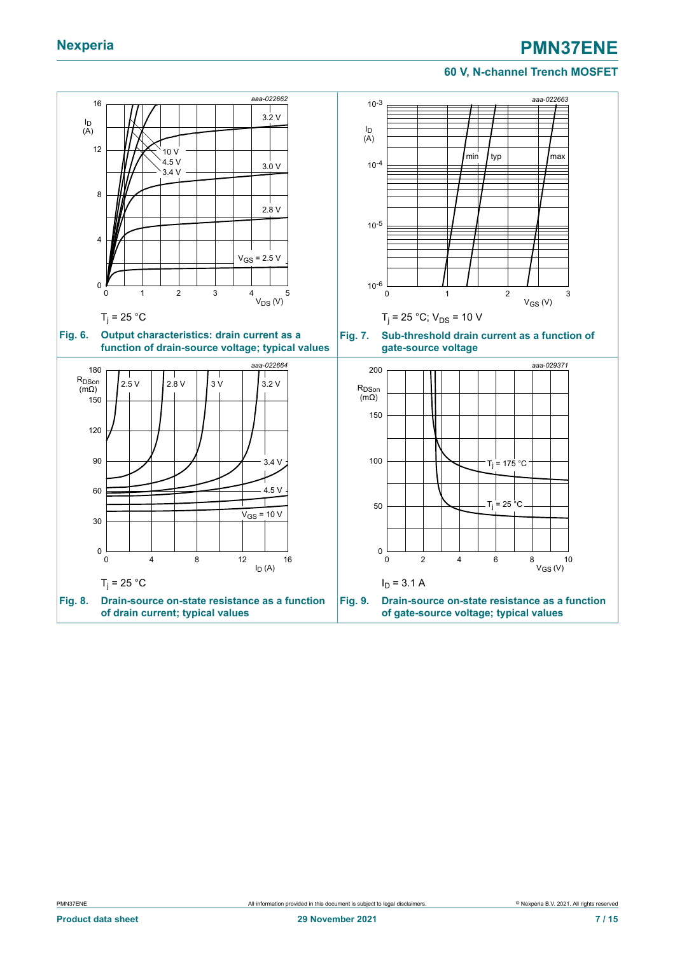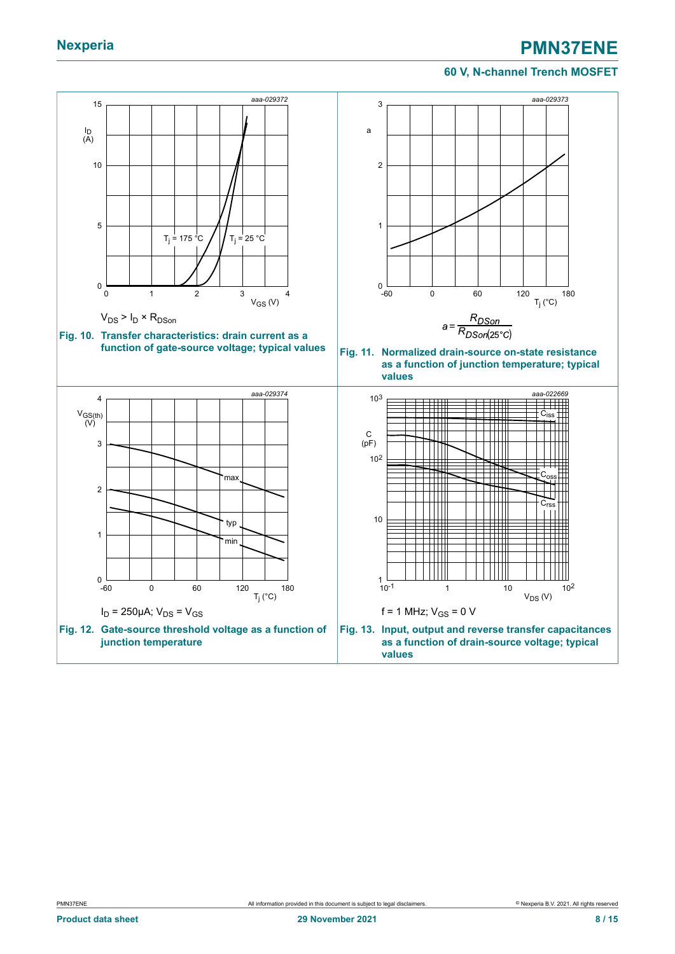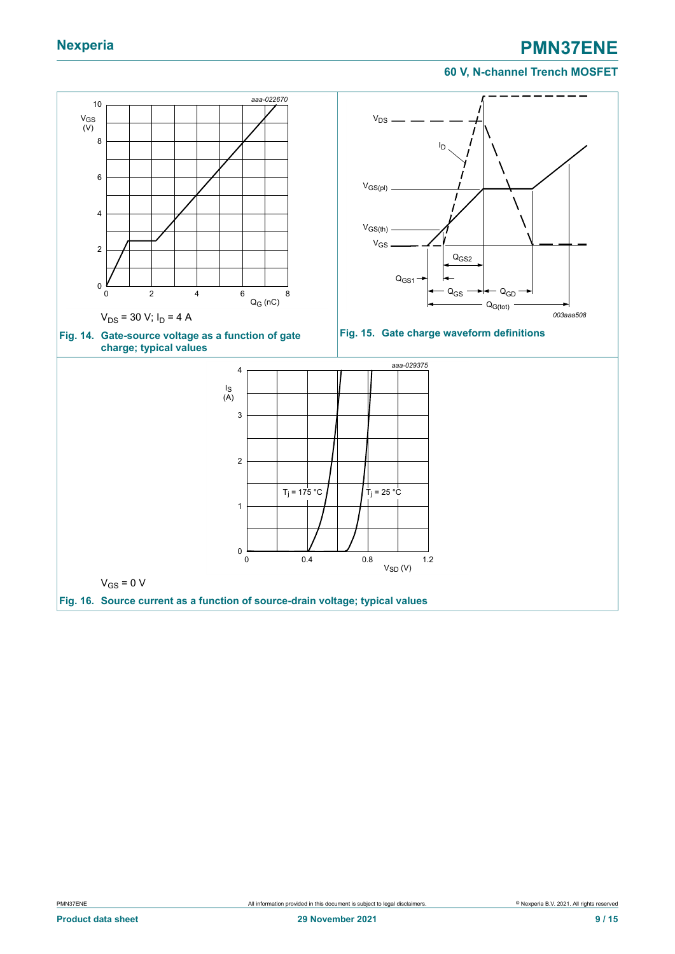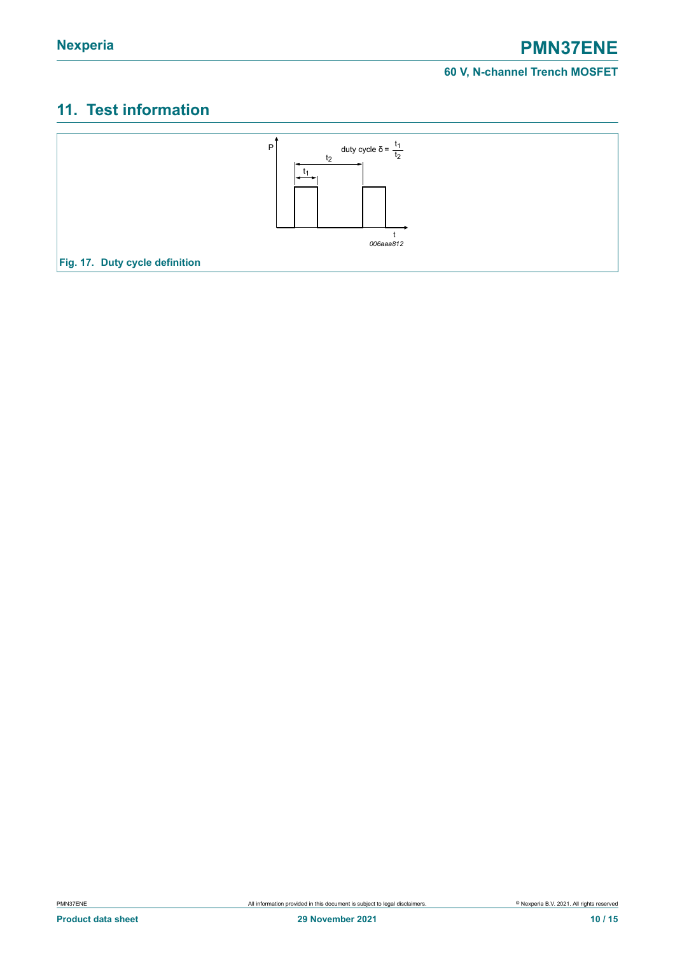## <span id="page-9-0"></span>**11. Test information**

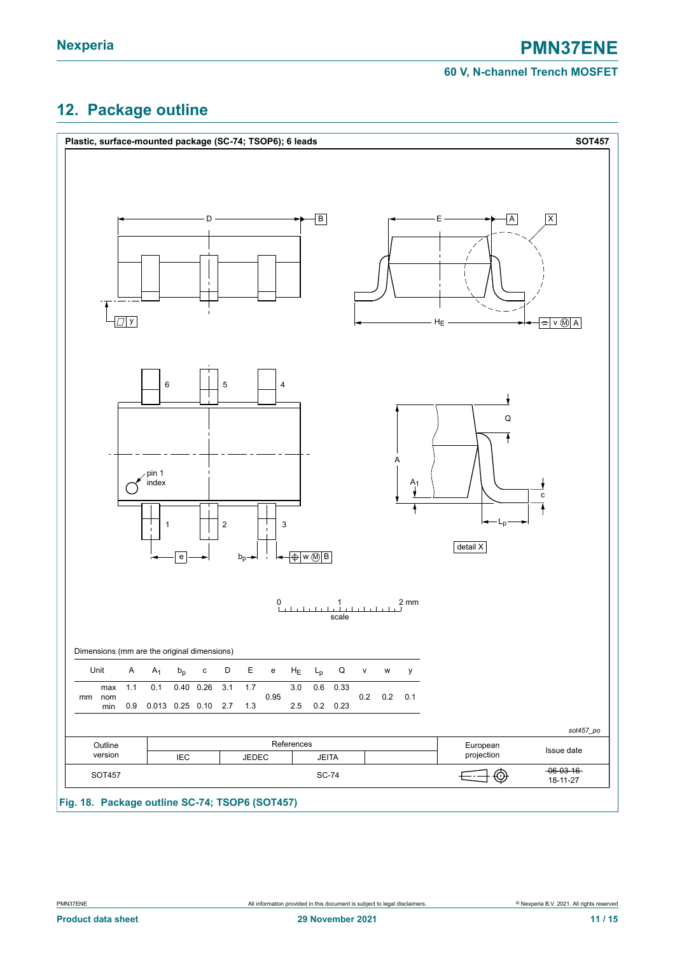## <span id="page-10-0"></span>**12. Package outline**

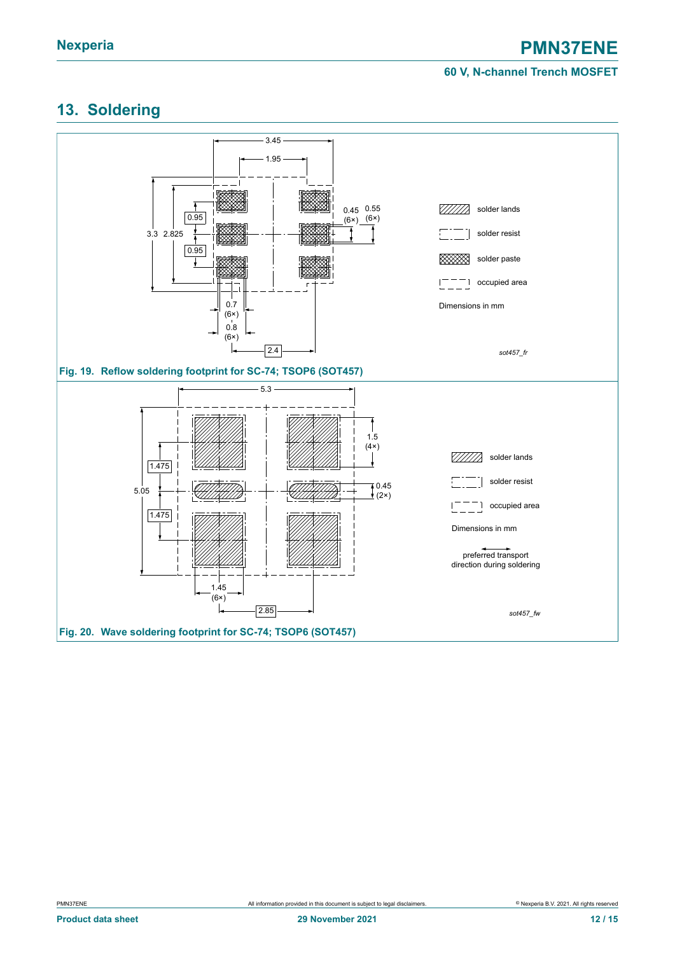### <span id="page-11-0"></span>**13. Soldering**

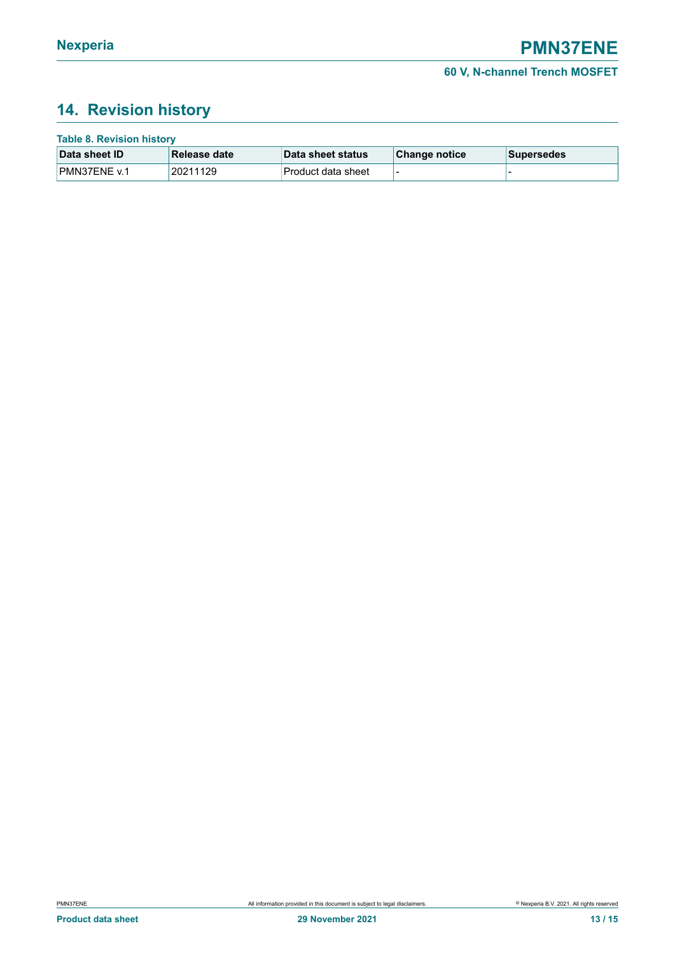## <span id="page-12-0"></span>**14. Revision history**

| <b>Table 8. Revision history</b> |               |                      |               |             |  |
|----------------------------------|---------------|----------------------|---------------|-------------|--|
| Data sheet ID                    | ∣Release date | ⊺Data sheet status   | Change notice | ∣Supersedes |  |
| <b>IPMN37ENE v.1</b>             | 20211129      | l Product data sheet |               |             |  |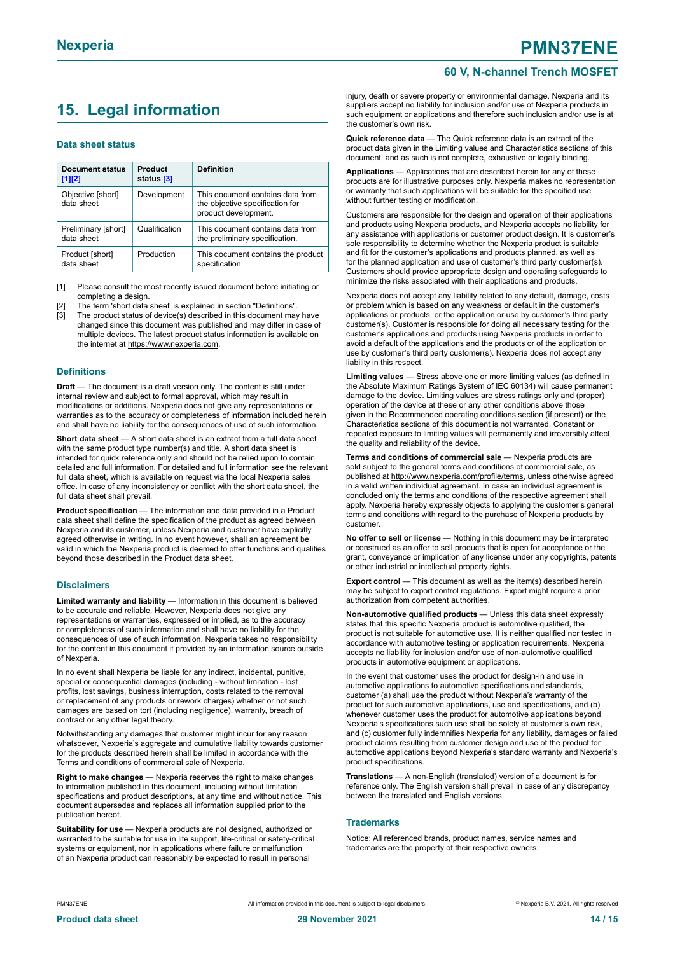### <span id="page-13-0"></span>**15. Legal information**

#### **Data sheet status**

| <b>Document status</b><br>$[1]$ [2] | Product<br>status [3] | <b>Definition</b>                                                                           |
|-------------------------------------|-----------------------|---------------------------------------------------------------------------------------------|
| Objective [short]<br>data sheet     | Development           | This document contains data from<br>the objective specification for<br>product development. |
| Preliminary [short]<br>data sheet   | Qualification         | This document contains data from<br>the preliminary specification.                          |
| Product [short]<br>data sheet       | Production            | This document contains the product<br>specification.                                        |

[1] Please consult the most recently issued document before initiating or completing a design.

- The term 'short data sheet' is explained in section "Definitions".
- [3] The product status of device(s) described in this document may have changed since this document was published and may differ in case of multiple devices. The latest product status information is available on the internet at [https://www.nexperia.com.](https://www.nexperia.com)

#### **Definitions**

**Draft** — The document is a draft version only. The content is still under internal review and subject to formal approval, which may result in modifications or additions. Nexperia does not give any representations or warranties as to the accuracy or completeness of information included herein and shall have no liability for the consequences of use of such information.

**Short data sheet** — A short data sheet is an extract from a full data sheet with the same product type number(s) and title. A short data sheet is intended for quick reference only and should not be relied upon to contain detailed and full information. For detailed and full information see the relevant full data sheet, which is available on request via the local Nexperia sales office. In case of any inconsistency or conflict with the short data sheet, the full data sheet shall prevail.

**Product specification** — The information and data provided in a Product data sheet shall define the specification of the product as agreed between Nexperia and its customer, unless Nexperia and customer have explicitly agreed otherwise in writing. In no event however, shall an agreement be valid in which the Nexperia product is deemed to offer functions and qualities beyond those described in the Product data sheet.

#### **Disclaimers**

**Limited warranty and liability** — Information in this document is believed to be accurate and reliable. However, Nexperia does not give any representations or warranties, expressed or implied, as to the accuracy or completeness of such information and shall have no liability for the consequences of use of such information. Nexperia takes no responsibility for the content in this document if provided by an information source outside of Nexperia.

In no event shall Nexperia be liable for any indirect, incidental, punitive, special or consequential damages (including - without limitation - lost profits, lost savings, business interruption, costs related to the removal or replacement of any products or rework charges) whether or not such damages are based on tort (including negligence), warranty, breach of contract or any other legal theory.

Notwithstanding any damages that customer might incur for any reason whatsoever, Nexperia's aggregate and cumulative liability towards customer for the products described herein shall be limited in accordance with the Terms and conditions of commercial sale of Nexperia.

**Right to make changes** — Nexperia reserves the right to make changes to information published in this document, including without limitation specifications and product descriptions, at any time and without notice. This document supersedes and replaces all information supplied prior to the publication hereof

**Suitability for use** — Nexperia products are not designed, authorized or warranted to be suitable for use in life support, life-critical or safety-critical systems or equipment, nor in applications where failure or malfunction of an Nexperia product can reasonably be expected to result in personal

injury, death or severe property or environmental damage. Nexperia and its suppliers accept no liability for inclusion and/or use of Nexperia products in such equipment or applications and therefore such inclusion and/or use is at the customer's own risk.

**Quick reference data** — The Quick reference data is an extract of the product data given in the Limiting values and Characteristics sections of this document, and as such is not complete, exhaustive or legally binding.

**Applications** — Applications that are described herein for any of these products are for illustrative purposes only. Nexperia makes no representation or warranty that such applications will be suitable for the specified use without further testing or modification.

Customers are responsible for the design and operation of their applications and products using Nexperia products, and Nexperia accepts no liability for any assistance with applications or customer product design. It is customer's sole responsibility to determine whether the Nexperia product is suitable and fit for the customer's applications and products planned, as well as for the planned application and use of customer's third party customer(s). Customers should provide appropriate design and operating safeguards to minimize the risks associated with their applications and products.

Nexperia does not accept any liability related to any default, damage, costs or problem which is based on any weakness or default in the customer's applications or products, or the application or use by customer's third party customer(s). Customer is responsible for doing all necessary testing for the customer's applications and products using Nexperia products in order to avoid a default of the applications and the products or of the application or use by customer's third party customer(s). Nexperia does not accept any liability in this respect.

**Limiting values** — Stress above one or more limiting values (as defined in the Absolute Maximum Ratings System of IEC 60134) will cause permanent damage to the device. Limiting values are stress ratings only and (proper) operation of the device at these or any other conditions above those given in the Recommended operating conditions section (if present) or the Characteristics sections of this document is not warranted. Constant or repeated exposure to limiting values will permanently and irreversibly affect the quality and reliability of the device.

**Terms and conditions of commercial sale** — Nexperia products are sold subject to the general terms and conditions of commercial sale, as published at [http://www.nexperia.com/profile/terms,](http://www.nexperia.com/profile/terms) unless otherwise agreed in a valid written individual agreement. In case an individual agreement is concluded only the terms and conditions of the respective agreement shall apply. Nexperia hereby expressly objects to applying the customer's general terms and conditions with regard to the purchase of Nexperia products by customer.

**No offer to sell or license** — Nothing in this document may be interpreted or construed as an offer to sell products that is open for acceptance or the grant, conveyance or implication of any license under any copyrights, patents or other industrial or intellectual property rights.

**Export control** — This document as well as the item(s) described herein may be subject to export control regulations. Export might require a prior authorization from competent authorities.

**Non-automotive qualified products** — Unless this data sheet expressly states that this specific Nexperia product is automotive qualified, the product is not suitable for automotive use. It is neither qualified nor tested in accordance with automotive testing or application requirements. Nexperia accepts no liability for inclusion and/or use of non-automotive qualified products in automotive equipment or applications.

In the event that customer uses the product for design-in and use in automotive applications to automotive specifications and standards, customer (a) shall use the product without Nexperia's warranty of the product for such automotive applications, use and specifications, and (b) whenever customer uses the product for automotive applications beyond Nexperia's specifications such use shall be solely at customer's own risk, and (c) customer fully indemnifies Nexperia for any liability, damages or failed product claims resulting from customer design and use of the product for automotive applications beyond Nexperia's standard warranty and Nexperia's product specifications.

**Translations** — A non-English (translated) version of a document is for reference only. The English version shall prevail in case of any discrepancy between the translated and English versions.

#### **Trademarks**

Notice: All referenced brands, product names, service names and trademarks are the property of their respective owners.